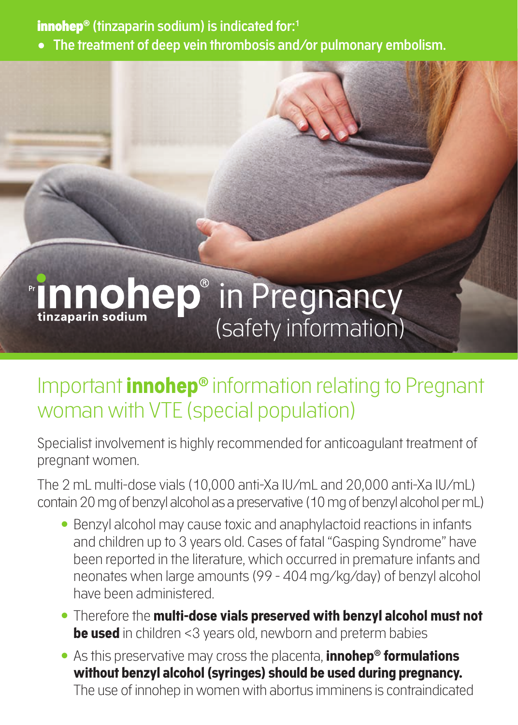innohep® **(tinzaparin sodium) is indicated for:1**

**• The treatment of deep vein thrombosis and/or pulmonary embolism.**

# **Innohep** in Pregnancy (safety information)

### Important **innohep®** information relating to Pregnant woman with VTE (special population)

Specialist involvement is highly recommended for anticoagulant treatment of pregnant women.

The 2 mL multi-dose vials (10,000 anti-Xa IU/mL and 20,000 anti-Xa IU/mL) contain 20 mg of benzyl alcohol as a preservative (10 mg of benzyl alcohol per mL)

- Benzyl alcohol may cause toxic and anaphylactoid reactions in infants and children up to 3 years old. Cases of fatal "Gasping Syndrome" have been reported in the literature, which occurred in premature infants and neonates when large amounts (99 - 404 mg/kg/day) of benzyl alcohol have been administered.
- Therefore the **multi-dose vials preserved with benzyl alcohol must not be used** in children <3 years old, newborn and preterm babies
- As this preservative may cross the placenta, **innohep® formulations without benzyl alcohol (syringes) should be used during pregnancy.** The use of innohep in women with abortus imminens is contraindicated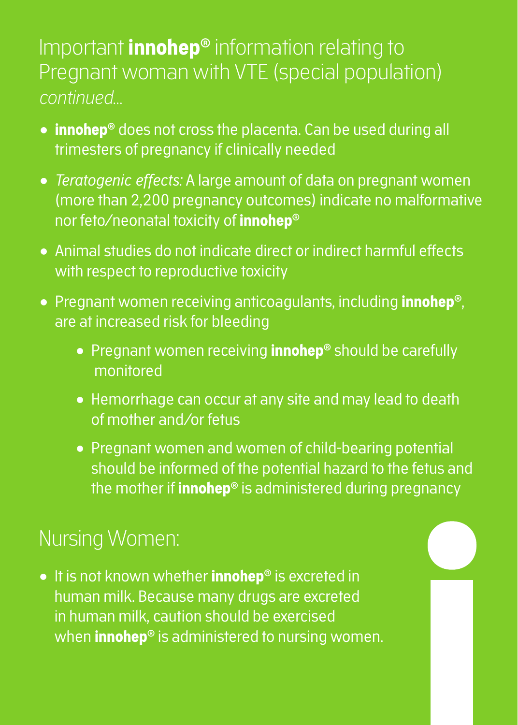### Important **innohep®** information relating to Pregnant woman with VTE (special population) *continued…*

- **innohep®** does not cross the placenta. Can be used during all trimesters of pregnancy if clinically needed
- *Teratogenic effects:* A large amount of data on pregnant women (more than 2,200 pregnancy outcomes) indicate no malformative nor feto/neonatal toxicity of **innohep®**
- Animal studies do not indicate direct or indirect harmful effects with respect to reproductive toxicity
- Pregnant women receiving anticoagulants, including **innohep®**, are at increased risk for bleeding
	- Pregnant women receiving **innohep®** should be carefully monitored
	- Hemorrhage can occur at any site and may lead to death of mother and/or fetus
	- Pregnant women and women of child-bearing potential should be informed of the potential hazard to the fetus and the mother if **innohep®** is administered during pregnancy

### Nursing Women:

• It is not known whether **innohep®** is excreted in human milk. Because many drugs are excreted in human milk, caution should be exercised when **innohep®** is administered to nursing women.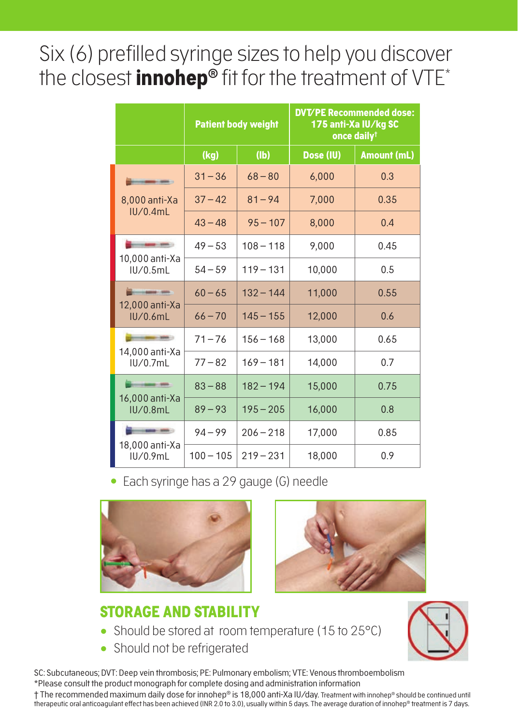## Six (6) prefilled syringe sizes to help you discover the closest **innohep<sup>®</sup>** fit for the treatment of VTE<sup>\*</sup>

|                                                    | <b>Patient body weight</b> |             | <b>DVT/PE Recommended dose:</b><br>175 anti-Xa IU/kg SC<br>once daily <sup>†</sup> |             |
|----------------------------------------------------|----------------------------|-------------|------------------------------------------------------------------------------------|-------------|
|                                                    | (kg)                       | (Ib)        | Dose (IU)                                                                          | Amount (mL) |
| 8,000 anti-Xa<br>IU/0.4mL                          | $31 - 36$                  | $68 - 80$   | 6,000                                                                              | 0.3         |
|                                                    | $37 - 42$                  | $81 - 94$   | 7,000                                                                              | 0.35        |
|                                                    | $43 - 48$                  | $95 - 107$  | 8,000                                                                              | 0.4         |
| 10,000 anti-Xa<br>IU/0.5mL                         | $49 - 53$                  | $108 - 118$ | 9.000                                                                              | 0.45        |
|                                                    | $54 - 59$                  | $119 - 131$ | 10.000                                                                             | 0.5         |
| <b>Bride Collabo</b><br>12,000 anti-Xa<br>IU/0.6mL | $60 - 65$                  | $132 - 144$ | 11.000                                                                             | 0.55        |
|                                                    | $66 - 70$                  | $145 - 155$ | 12,000                                                                             | 0.6         |
| 14.000 anti-Xa<br>IU/0.7mL                         | $71 - 76$                  | $156 - 168$ | 13,000                                                                             | 0.65        |
|                                                    | $77 - 82$                  | $169 - 181$ | 14,000                                                                             | 0.7         |
| 16,000 anti-Xa<br>IU/0.8mL                         | $83 - 88$                  | $182 - 194$ | 15,000                                                                             | 0.75        |
|                                                    | $89 - 93$                  | $195 - 205$ | 16,000                                                                             | 0.8         |
| 18,000 anti-Xa<br>IU/0.9mL                         | $94 - 99$                  | $206 - 218$ | 17,000                                                                             | 0.85        |
|                                                    | $100 - 105$                | $219 - 231$ | 18,000                                                                             | 0.9         |

Each syringe has a 29 gauge (G) needle





### **STORAGE AND STABILITY**

- Should be stored at room temperature (15 to 25°C)
- Should not be refrigerated



SC: Subcutaneous; DVT: Deep vein thrombosis; PE: Pulmonary embolism; VTE: Venous thromboembolism \*Please consult the product monograph for complete dosing and administration information

† The recommended maximum daily dose for innohep® is 18,000 anti-Xa IU/day. Treatment with innohep® should be continued until therapeutic oral anticoagulant effect has been achieved (INR 2.0 to 3.0), usually within 5 days. The average duration of innohep® treatment is 7 days.